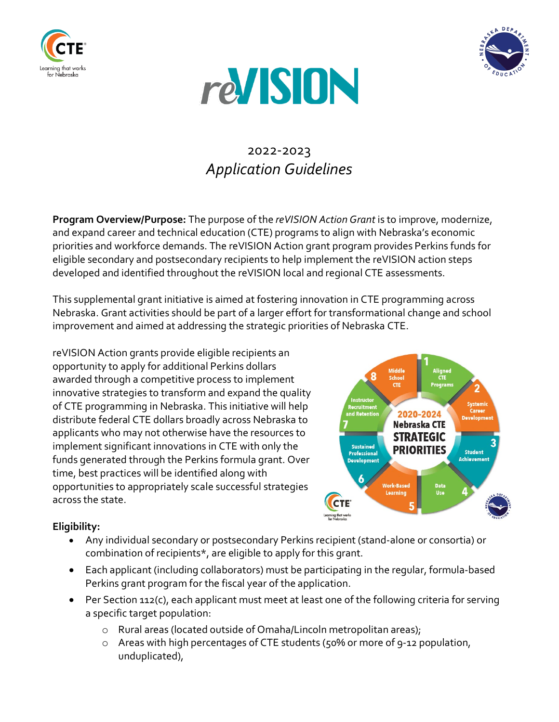





# 2022-2023 *Application Guidelines*

**Program Overview/Purpose:** The purpose of the *reVISION Action Grant* is to improve, modernize, and expand career and technical education (CTE) programs to align with Nebraska's economic priorities and workforce demands. The reVISION Action grant program provides Perkins funds for eligible secondary and postsecondary recipients to help implement the reVISION action steps developed and identified throughout the reVISION local and regional CTE assessments.

This supplemental grant initiative is aimed at fostering innovation in CTE programming across Nebraska. Grant activities should be part of a larger effort for transformational change and school improvement and aimed at addressing the strategic priorities of Nebraska CTE.

reVISION Action grants provide eligible recipients an opportunity to apply for additional Perkins dollars awarded through a competitive process to implement innovative strategies to transform and expand the quality of CTE programming in Nebraska. This initiative will help distribute federal CTE dollars broadly across Nebraska to applicants who may not otherwise have the resources to implement significant innovations in CTE with only the funds generated through the Perkins formula grant. Over time, best practices will be identified along with opportunities to appropriately scale successful strategies across the state.



# **Eligibility:**

- Any individual secondary or postsecondary Perkins recipient (stand-alone or consortia) or combination of recipients\*, are eligible to apply for this grant.
- Each applicant (including collaborators) must be participating in the regular, formula-based Perkins grant program for the fiscal year of the application.
- Per Section 112(c), each applicant must meet at least one of the following criteria for serving a specific target population:
	- o Rural areas (located outside of Omaha/Lincoln metropolitan areas);
	- o Areas with high percentages of CTE students (50% or more of 9-12 population, unduplicated),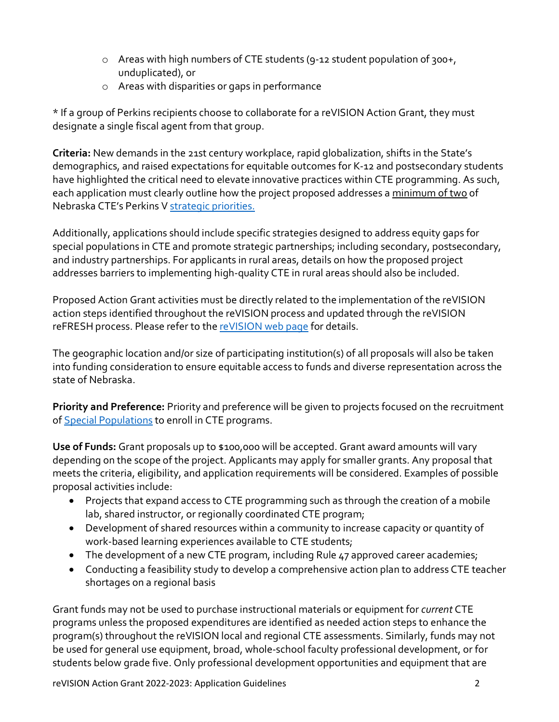- o Areas with high numbers of CTE students (9-12 student population of 300+, unduplicated), or
- o Areas with disparities or gaps in performance

\* If a group of Perkins recipients choose to collaborate for a reVISION Action Grant, they must designate a single fiscal agent from that group.

**Criteria:** New demands in the 21st century workplace, rapid globalization, shifts in the State's demographics, and raised expectations for equitable outcomes for K-12 and postsecondary students have highlighted the critical need to elevate innovative practices within CTE programming. As such, each application must clearly outline how the project proposed addresses a minimum of two of Nebraska CTE's Perkins V [strategic priorities.](https://www.education.ne.gov/wp-content/uploads/2020/03/StrategicPrioritiesPerkinsV_pages.pdf)

Additionally, applications should include specific strategies designed to address equity gaps for special populations in CTE and promote strategic partnerships; including secondary, postsecondary, and industry partnerships. For applicants in rural areas, details on how the proposed project addresses barriers to implementing high-quality CTE in rural areas should also be included.

Proposed Action Grant activities must be directly related to the implementation of the reVISION action steps identified throughout the reVISION process and updated through the reVISION reFRESH process. Please refer to th[e reVISION web page](https://www.education.ne.gov/nce/revision/) for details.

The geographic location and/or size of participating institution(s) of all proposals will also be taken into funding consideration to ensure equitable access to funds and diverse representation across the state of Nebraska.

**Priority and Preference:** Priority and preference will be given to projects focused on the recruitment of [Special Populations](https://www.education.ne.gov/nce/nontraditional-special-populations/) to enroll in CTE programs.

**Use of Funds:** Grant proposals up to \$100,000 will be accepted. Grant award amounts will vary depending on the scope of the project. Applicants may apply for smaller grants. Any proposal that meets the criteria, eligibility, and application requirements will be considered. Examples of possible proposal activities include:

- Projects that expand access to CTE programming such as through the creation of a mobile lab, shared instructor, or regionally coordinated CTE program;
- Development of shared resources within a community to increase capacity or quantity of work-based learning experiences available to CTE students;
- The development of a new CTE program, including Rule 47 approved career academies;
- Conducting a feasibility study to develop a comprehensive action plan to address CTE teacher shortages on a regional basis

Grant funds may not be used to purchase instructional materials or equipment for *current* CTE programs unless the proposed expenditures are identified as needed action steps to enhance the program(s) throughout the reVISION local and regional CTE assessments. Similarly, funds may not be used for general use equipment, broad, whole-school faculty professional development, or for students below grade five. Only professional development opportunities and equipment that are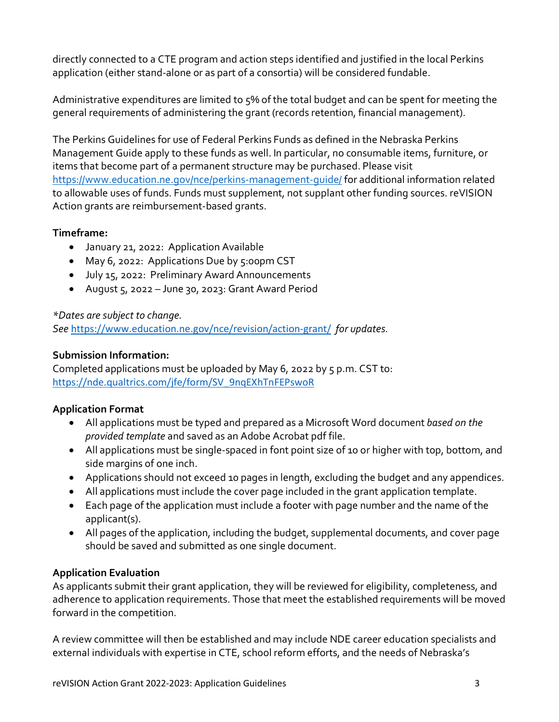directly connected to a CTE program and action steps identified and justified in the local Perkins application (either stand-alone or as part of a consortia) will be considered fundable.

Administrative expenditures are limited to 5% of the total budget and can be spent for meeting the general requirements of administering the grant (records retention, financial management).

The Perkins Guidelines for use of Federal Perkins Funds as defined in the Nebraska Perkins Management Guide apply to these funds as well. In particular, no consumable items, furniture, or items that become part of a permanent structure may be purchased. Please visit <https://www.education.ne.gov/nce/perkins-management-guide/> for additional information related to allowable uses of funds. Funds must supplement, not supplant other funding sources. reVISION Action grants are reimbursement-based grants.

### **Timeframe:**

- January 21, 2022: Application Available
- May 6, 2022: Applications Due by 5:00pm CST
- July 15, 2022: Preliminary Award Announcements
- August 5, 2022 June 30, 2023: Grant Award Period

### *\*Dates are subject to change.*

*See* <https://www.education.ne.gov/nce/revision/action-grant/> *for updates.* 

### **Submission Information:**

Completed applications must be uploaded by May 6, 2022 by 5 p.m. CST to: [https://nde.qualtrics.com/jfe/form/SV\\_9nqEXhTnFEPswoR](https://nde.qualtrics.com/jfe/form/SV_9nqEXhTnFEPswoR)

### **Application Format**

- All applications must be typed and prepared as a Microsoft Word document *based on the provided template* and saved as an Adobe Acrobat pdf file.
- All applications must be single-spaced in font point size of 10 or higher with top, bottom, and side margins of one inch.
- Applications should not exceed 10 pages in length, excluding the budget and any appendices.
- All applications must include the cover page included in the grant application template.
- Each page of the application must include a footer with page number and the name of the applicant(s).
- All pages of the application, including the budget, supplemental documents, and cover page should be saved and submitted as one single document.

### **Application Evaluation**

As applicants submit their grant application, they will be reviewed for eligibility, completeness, and adherence to application requirements. Those that meet the established requirements will be moved forward in the competition.

A review committee will then be established and may include NDE career education specialists and external individuals with expertise in CTE, school reform efforts, and the needs of Nebraska's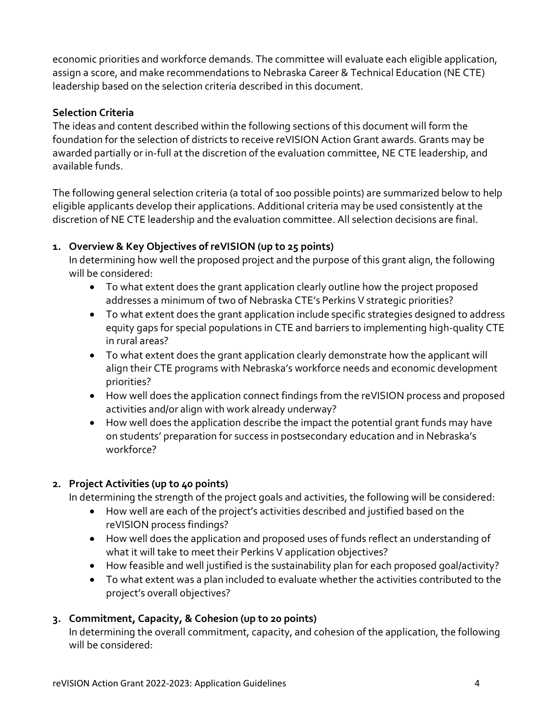economic priorities and workforce demands. The committee will evaluate each eligible application, assign a score, and make recommendations to Nebraska Career & Technical Education (NE CTE) leadership based on the selection criteria described in this document.

## **Selection Criteria**

The ideas and content described within the following sections of this document will form the foundation for the selection of districts to receive reVISION Action Grant awards. Grants may be awarded partially or in-full at the discretion of the evaluation committee, NE CTE leadership, and available funds.

The following general selection criteria (a total of 100 possible points) are summarized below to help eligible applicants develop their applications. Additional criteria may be used consistently at the discretion of NE CTE leadership and the evaluation committee. All selection decisions are final.

## **1. Overview & Key Objectives of reVISION (up to 25 points)**

In determining how well the proposed project and the purpose of this grant align, the following will be considered:

- To what extent does the grant application clearly outline how the project proposed addresses a minimum of two of Nebraska CTE's Perkins V strategic priorities?
- To what extent does the grant application include specific strategies designed to address equity gaps for special populations in CTE and barriers to implementing high-quality CTE in rural areas?
- To what extent does the grant application clearly demonstrate how the applicant will align their CTE programs with Nebraska's workforce needs and economic development priorities?
- How well does the application connect findings from the reVISION process and proposed activities and/or align with work already underway?
- How well does the application describe the impact the potential grant funds may have on students' preparation for success in postsecondary education and in Nebraska's workforce?

# **2. Project Activities (up to 40 points)**

In determining the strength of the project goals and activities, the following will be considered:

- How well are each of the project's activities described and justified based on the reVISION process findings?
- How well does the application and proposed uses of funds reflect an understanding of what it will take to meet their Perkins V application objectives?
- How feasible and well justified is the sustainability plan for each proposed goal/activity?
- To what extent was a plan included to evaluate whether the activities contributed to the project's overall objectives?

# **3. Commitment, Capacity, & Cohesion (up to 20 points)**

In determining the overall commitment, capacity, and cohesion of the application, the following will be considered: